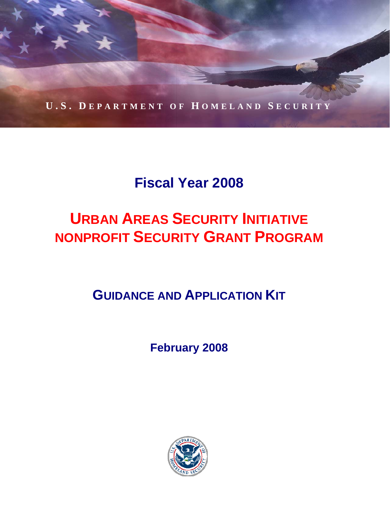

# **Fiscal Year 2008**

# **URBAN AREAS SECURITY INITIATIVE NONPROFIT SECURITY GRANT PROGRAM**

**GUIDANCE AND APPLICATION KIT**

**February 2008** 

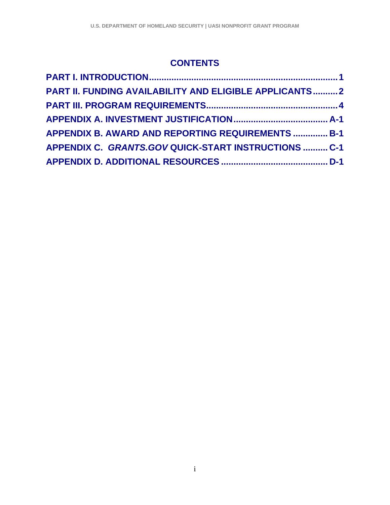# **CONTENTS**

| <b>PART II. FUNDING AVAILABILITY AND ELIGIBLE APPLICANTS2</b> |  |
|---------------------------------------------------------------|--|
|                                                               |  |
|                                                               |  |
| <b>APPENDIX B. AWARD AND REPORTING REQUIREMENTS  B-1</b>      |  |
| APPENDIX C. GRANTS.GOV QUICK-START INSTRUCTIONS  C-1          |  |
|                                                               |  |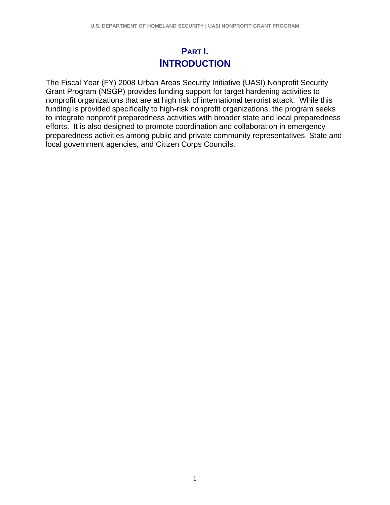# **PART I. INTRODUCTION**

The Fiscal Year (FY) 2008 Urban Areas Security Initiative (UASI) Nonprofit Security Grant Program (NSGP) provides funding support for target hardening activities to nonprofit organizations that are at high risk of international terrorist attack. While this funding is provided specifically to high-risk nonprofit organizations, the program seeks to integrate nonprofit preparedness activities with broader state and local preparedness efforts. It is also designed to promote coordination and collaboration in emergency preparedness activities among public and private community representatives, State and local government agencies, and Citizen Corps Councils.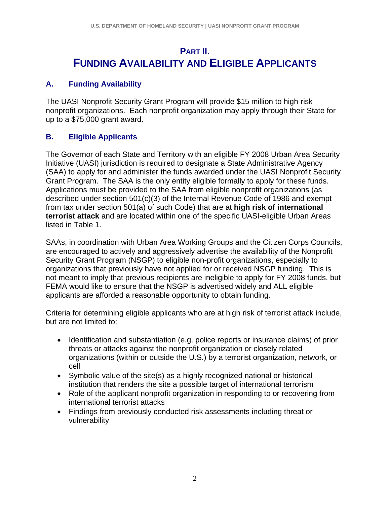# **PART II. FUNDING AVAILABILITY AND ELIGIBLE APPLICANTS**

# **A. Funding Availability**

The UASI Nonprofit Security Grant Program will provide \$15 million to high-risk nonprofit organizations. Each nonprofit organization may apply through their State for up to a \$75,000 grant award.

# **B. Eligible Applicants**

The Governor of each State and Territory with an eligible FY 2008 Urban Area Security Initiative (UASI) jurisdiction is required to designate a State Administrative Agency (SAA) to apply for and administer the funds awarded under the UASI Nonprofit Security Grant Program. The SAA is the only entity eligible formally to apply for these funds. Applications must be provided to the SAA from eligible nonprofit organizations (as described under section 501(c)(3) of the Internal Revenue Code of 1986 and exempt from tax under section 501(a) of such Code) that are at **high risk of international terrorist attack** and are located within one of the specific UASI-eligible Urban Areas listed in Table 1.

SAAs, in coordination with Urban Area Working Groups and the Citizen Corps Councils, are encouraged to actively and aggressively advertise the availability of the Nonprofit Security Grant Program (NSGP) to eligible non-profit organizations, especially to organizations that previously have not applied for or received NSGP funding. This is not meant to imply that previous recipients are ineligible to apply for FY 2008 funds, but FEMA would like to ensure that the NSGP is advertised widely and ALL eligible applicants are afforded a reasonable opportunity to obtain funding.

Criteria for determining eligible applicants who are at high risk of terrorist attack include, but are not limited to:

- Identification and substantiation (e.g. police reports or insurance claims) of prior threats or attacks against the nonprofit organization or closely related organizations (within or outside the U.S.) by a terrorist organization, network, or cell
- Symbolic value of the site(s) as a highly recognized national or historical institution that renders the site a possible target of international terrorism
- Role of the applicant nonprofit organization in responding to or recovering from international terrorist attacks
- Findings from previously conducted risk assessments including threat or vulnerability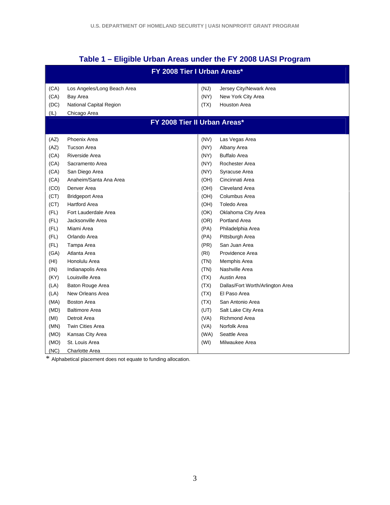|  |  | Table 1 - Eligible Urban Areas under the FY 2008 UASI Program |
|--|--|---------------------------------------------------------------|
|--|--|---------------------------------------------------------------|

|                              | FY 2008 Tier I Urban Areas* |      |                                  |  |  |  |
|------------------------------|-----------------------------|------|----------------------------------|--|--|--|
| (CA)                         | Los Angeles/Long Beach Area | (NJ) | Jersey City/Newark Area          |  |  |  |
| (CA)                         | Bay Area                    | (NY) | New York City Area               |  |  |  |
| (DC)                         | National Capital Region     | (TX) | <b>Houston Area</b>              |  |  |  |
| (IL)                         | Chicago Area                |      |                                  |  |  |  |
| FY 2008 Tier II Urban Areas* |                             |      |                                  |  |  |  |
| (AZ)                         | Phoenix Area                | (NV) | Las Vegas Area                   |  |  |  |
| (AZ)                         | <b>Tucson Area</b>          | (NY) | Albany Area                      |  |  |  |
| (CA)                         | Riverside Area              | (NY) | <b>Buffalo Area</b>              |  |  |  |
| (CA)                         | Sacramento Area             | (NY) | Rochester Area                   |  |  |  |
| (CA)                         | San Diego Area              | (NY) | Syracuse Area                    |  |  |  |
| (CA)                         | Anaheim/Santa Ana Area      | (OH) | Cincinnati Area                  |  |  |  |
| (CO)                         | Denver Area                 | (OH) | Cleveland Area                   |  |  |  |
| (CT)                         | <b>Bridgeport Area</b>      | (OH) | Columbus Area                    |  |  |  |
| (CT)                         | <b>Hartford Area</b>        | (OH) | Toledo Area                      |  |  |  |
| (FL)                         | Fort Lauderdale Area        | (OK) | Oklahoma City Area               |  |  |  |
| (FL)                         | Jacksonville Area           | (OR) | <b>Portland Area</b>             |  |  |  |
| (FL)                         | Miami Area                  | (PA) | Philadelphia Area                |  |  |  |
| (FL)                         | Orlando Area                | (PA) | Pittsburgh Area                  |  |  |  |
| (FL)                         | Tampa Area                  | (PR) | San Juan Area                    |  |  |  |
| (GA)                         | Atlanta Area                | (RI) | Providence Area                  |  |  |  |
| (HI)                         | Honolulu Area               | (TN) | Memphis Area                     |  |  |  |
| (IN)                         | Indianapolis Area           | (TN) | Nashville Area                   |  |  |  |
| (KY)                         | Louisville Area             | (TX) | Austin Area                      |  |  |  |
| (LA)                         | Baton Rouge Area            | (TX) | Dallas/Fort Worth/Arlington Area |  |  |  |
| (LA)                         | New Orleans Area            | (TX) | El Paso Area                     |  |  |  |
| (MA)                         | <b>Boston Area</b>          | (TX) | San Antonio Area                 |  |  |  |
| (MD)                         | <b>Baltimore Area</b>       | (UT) | Salt Lake City Area              |  |  |  |
| (MI)                         | Detroit Area                | (VA) | <b>Richmond Area</b>             |  |  |  |
| (MN)                         | <b>Twin Cities Area</b>     | (VA) | Norfolk Area                     |  |  |  |
| (MO)                         | Kansas City Area            | (WA) | Seattle Area                     |  |  |  |
| (MO)                         | St. Louis Area              | (WI) | Milwaukee Area                   |  |  |  |
| (NC)                         | Charlotte Area              |      |                                  |  |  |  |

\* Alphabetical placement does not equate to funding allocation.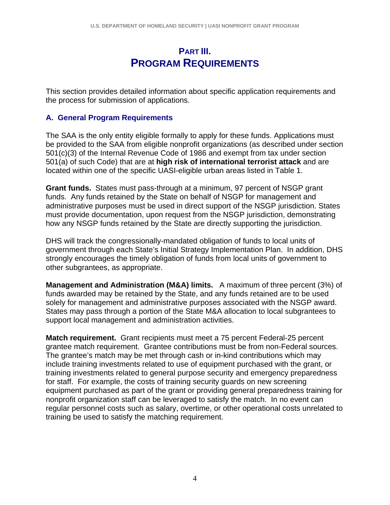# **PART III. PROGRAM REQUIREMENTS**

This section provides detailed information about specific application requirements and the process for submission of applications.

#### **A. General Program Requirements**

The SAA is the only entity eligible formally to apply for these funds. Applications must be provided to the SAA from eligible nonprofit organizations (as described under section 501(c)(3) of the Internal Revenue Code of 1986 and exempt from tax under section 501(a) of such Code) that are at **high risk of international terrorist attack** and are located within one of the specific UASI-eligible urban areas listed in Table 1.

**Grant funds.** States must pass-through at a minimum, 97 percent of NSGP grant funds. Any funds retained by the State on behalf of NSGP for management and administrative purposes must be used in direct support of the NSGP jurisdiction. States must provide documentation, upon request from the NSGP jurisdiction, demonstrating how any NSGP funds retained by the State are directly supporting the jurisdiction.

DHS will track the congressionally-mandated obligation of funds to local units of government through each State's Initial Strategy Implementation Plan. In addition, DHS strongly encourages the timely obligation of funds from local units of government to other subgrantees, as appropriate.

**Management and Administration (M&A) limits.** A maximum of three percent (3%) of funds awarded may be retained by the State, and any funds retained are to be used solely for management and administrative purposes associated with the NSGP award. States may pass through a portion of the State M&A allocation to local subgrantees to support local management and administration activities.

**Match requirement.** Grant recipients must meet a 75 percent Federal-25 percent grantee match requirement. Grantee contributions must be from non-Federal sources. The grantee's match may be met through cash or in-kind contributions which may include training investments related to use of equipment purchased with the grant, or training investments related to general purpose security and emergency preparedness for staff. For example, the costs of training security guards on new screening equipment purchased as part of the grant or providing general preparedness training for nonprofit organization staff can be leveraged to satisfy the match. In no event can regular personnel costs such as salary, overtime, or other operational costs unrelated to training be used to satisfy the matching requirement.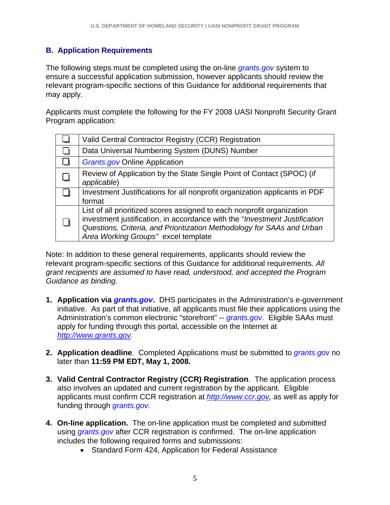# **B. Application Requirements**

The following steps must be completed using the on-line *grants.gov* system to ensure a successful application submission, however applicants should review the relevant program-specific sections of this Guidance for additional requirements that may apply.

Applicants must complete the following for the FY 2008 UASI Nonprofit Security Grant Program application:

| Valid Central Contractor Registry (CCR) Registration                                                                                                                                                                                                                  |
|-----------------------------------------------------------------------------------------------------------------------------------------------------------------------------------------------------------------------------------------------------------------------|
| Data Universal Numbering System (DUNS) Number                                                                                                                                                                                                                         |
| <b>Grants.gov Online Application</b>                                                                                                                                                                                                                                  |
| Review of Application by the State Single Point of Contact (SPOC) (if<br>applicable)                                                                                                                                                                                  |
| Investment Justifications for all nonprofit organization applicants in PDF<br>format                                                                                                                                                                                  |
| List of all prioritized scores assigned to each nonprofit organization<br>investment justification, in accordance with the "Investment Justification<br>Questions, Criteria, and Prioritization Methodology for SAAs and Urban<br>Area Working Groups" excel template |

Note: In addition to these general requirements, applicants should review the relevant program-specific sections of this Guidance for additional requirements. *All grant recipients are assumed to have read, understood, and accepted the Program Guidance as binding.*

- **1. Application via** *grants.gov***.** DHS participates in the Administration's e-government initiative. As part of that initiative, all applicants must file their applications using the Administration's common electronic "storefront" -- *grants.gov*. Eligible SAAs must apply for funding through this portal, accessible on the Internet at *http://www.grants.gov.*
- **2. Application deadline**. Completed Applications must be submitted to *grants.gov* no later than **11:59 PM EDT, May 1, 2008.**
- **3. Valid Central Contractor Registry (CCR) Registration**. The application process also involves an updated and current registration by the applicant. Eligible applicants must confirm CCR registration at *http://www.ccr.gov,* as well as apply for funding through *grants.gov.*
- **4. On-line application.** The on-line application must be completed and submitted using *grants.gov* after CCR registration is confirmed. The on-line application includes the following required forms and submissions:
	- Standard Form 424, Application for Federal Assistance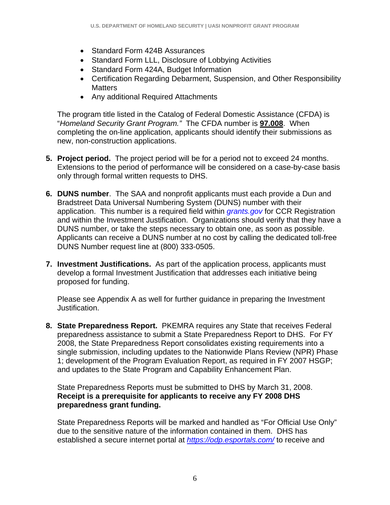- Standard Form 424B Assurances
- Standard Form LLL, Disclosure of Lobbying Activities
- Standard Form 424A, Budget Information
- Certification Regarding Debarment, Suspension, and Other Responsibility **Matters**
- Any additional Required Attachments

The program title listed in the Catalog of Federal Domestic Assistance (CFDA) is "*Homeland Security Grant Program."* The CFDA number is **97.008**. When completing the on-line application, applicants should identify their submissions as new, non-construction applications.

- **5. Project period.** The project period will be for a period not to exceed 24 months. Extensions to the period of performance will be considered on a case-by-case basis only through formal written requests to DHS.
- **6. DUNS number**. The SAA and nonprofit applicants must each provide a Dun and Bradstreet Data Universal Numbering System (DUNS) number with their application. This number is a required field within *grants.gov* for CCR Registration and within the Investment Justification. Organizations should verify that they have a DUNS number, or take the steps necessary to obtain one, as soon as possible. Applicants can receive a DUNS number at no cost by calling the dedicated toll-free DUNS Number request line at (800) 333-0505.
- **7. Investment Justifications.** As part of the application process, applicants must develop a formal Investment Justification that addresses each initiative being proposed for funding.

Please see Appendix A as well for further guidance in preparing the Investment Justification.

**8. State Preparedness Report.** PKEMRA requires any State that receives Federal preparedness assistance to submit a State Preparedness Report to DHS. For FY 2008, the State Preparedness Report consolidates existing requirements into a single submission, including updates to the Nationwide Plans Review (NPR) Phase 1; development of the Program Evaluation Report, as required in FY 2007 HSGP; and updates to the State Program and Capability Enhancement Plan.

State Preparedness Reports must be submitted to DHS by March 31, 2008. **Receipt is a prerequisite for applicants to receive any FY 2008 DHS preparedness grant funding.**

State Preparedness Reports will be marked and handled as "For Official Use Only" due to the sensitive nature of the information contained in them. DHS has established a secure internet portal at *https://odp.esportals.com/* to receive and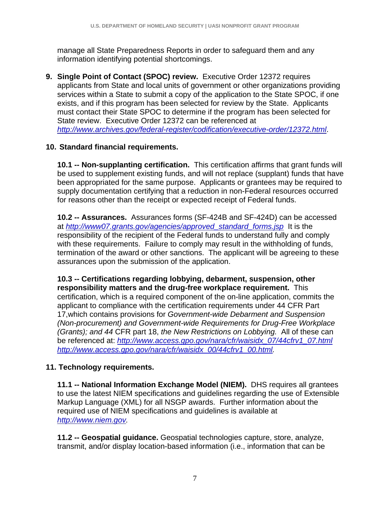manage all State Preparedness Reports in order to safeguard them and any information identifying potential shortcomings.

**9. Single Point of Contact (SPOC) review.** Executive Order 12372 requires applicants from State and local units of government or other organizations providing services within a State to submit a copy of the application to the State SPOC, if one exists, and if this program has been selected for review by the State. Applicants must contact their State SPOC to determine if the program has been selected for State review. Executive Order 12372 can be referenced at *http://www.archives.gov/federal-register/codification/executive-order/12372.html*.

## **10. Standard financial requirements.**

**10.1 -- Non-supplanting certification.** This certification affirms that grant funds will be used to supplement existing funds, and will not replace (supplant) funds that have been appropriated for the same purpose. Applicants or grantees may be required to supply documentation certifying that a reduction in non-Federal resources occurred for reasons other than the receipt or expected receipt of Federal funds.

**10.2 -- Assurances.** Assurances forms (SF-424B and SF-424D) can be accessed at *http://www07.grants.gov/agencies/approved\_standard\_forms.jsp* It is the responsibility of the recipient of the Federal funds to understand fully and comply with these requirements. Failure to comply may result in the withholding of funds, termination of the award or other sanctions. The applicant will be agreeing to these assurances upon the submission of the application.

**10.3 -- Certifications regarding lobbying, debarment, suspension, other responsibility matters and the drug-free workplace requirement.** This certification, which is a required component of the on-line application, commits the applicant to compliance with the certification requirements under 44 CFR Part 17,which contains provisions for *Government-wide Debarment and Suspension (Non-procurement) and Government-wide Requirements for Drug-Free Workplace (Grants); and 44* CFR part 18, *the New Restrictions on Lobbying.* All of these can be referenced at: *http://www.access.gpo.gov/nara/cfr/waisidx\_07/44cfrv1\_07.html http://www.access.gpo.gov/nara/cfr/waisidx\_00/44cfrv1\_00.html.* 

## **11. Technology requirements.**

**11.1 -- National Information Exchange Model (NIEM).** DHS requires all grantees to use the latest NIEM specifications and guidelines regarding the use of Extensible Markup Language (XML) for all NSGP awards.Further information about the required use of NIEM specifications and guidelines is available at *http://www.niem.gov.* 

**11.2 -- Geospatial guidance.** Geospatial technologies capture, store, analyze, transmit, and/or display location-based information (i.e., information that can be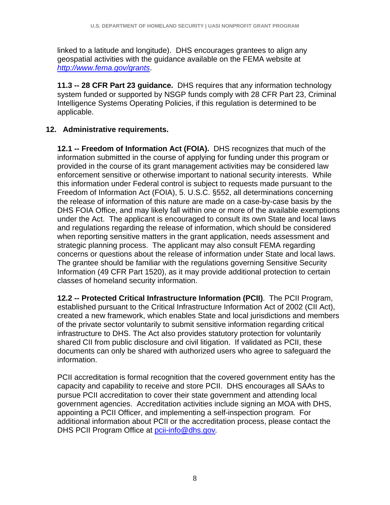linked to a latitude and longitude). DHS encourages grantees to align any geospatial activities with the guidance available on the FEMA website at *http://www.fema.gov/grants*.

**11.3 -- 28 CFR Part 23 guidance.** DHS requires that any information technology system funded or supported by NSGP funds comply with 28 CFR Part 23, Criminal Intelligence Systems Operating Policies, if this regulation is determined to be applicable.

# **12. Administrative requirements.**

**12.1 -- Freedom of Information Act (FOIA).** DHS recognizes that much of the information submitted in the course of applying for funding under this program or provided in the course of its grant management activities may be considered law enforcement sensitive or otherwise important to national security interests. While this information under Federal control is subject to requests made pursuant to the Freedom of Information Act (FOIA), 5. U.S.C. §552, all determinations concerning the release of information of this nature are made on a case-by-case basis by the DHS FOIA Office, and may likely fall within one or more of the available exemptions under the Act. The applicant is encouraged to consult its own State and local laws and regulations regarding the release of information, which should be considered when reporting sensitive matters in the grant application, needs assessment and strategic planning process. The applicant may also consult FEMA regarding concerns or questions about the release of information under State and local laws. The grantee should be familiar with the regulations governing Sensitive Security Information (49 CFR Part 1520), as it may provide additional protection to certain classes of homeland security information.

**12.2 -- Protected Critical Infrastructure Information (PCII)**. The PCII Program, established pursuant to the Critical Infrastructure Information Act of 2002 (CII Act), created a new framework, which enables State and local jurisdictions and members of the private sector voluntarily to submit sensitive information regarding critical infrastructure to DHS. The Act also provides statutory protection for voluntarily shared CII from public disclosure and civil litigation. If validated as PCII, these documents can only be shared with authorized users who agree to safeguard the information.

PCII accreditation is formal recognition that the covered government entity has the capacity and capability to receive and store PCII. DHS encourages all SAAs to pursue PCII accreditation to cover their state government and attending local government agencies. Accreditation activities include signing an MOA with DHS, appointing a PCII Officer, and implementing a self-inspection program. For additional information about PCII or the accreditation process, please contact the DHS PCII Program Office at pcii-info@dhs.gov*.*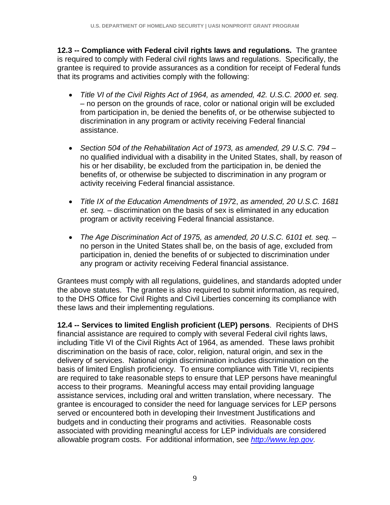**12.3 -- Compliance with Federal civil rights laws and regulations.** The grantee is required to comply with Federal civil rights laws and regulations. Specifically, the grantee is required to provide assurances as a condition for receipt of Federal funds that its programs and activities comply with the following:

- *Title VI of the Civil Rights Act of 1964, as amended, 42. U.S.C. 2000 et. seq.*  – no person on the grounds of race, color or national origin will be excluded from participation in, be denied the benefits of, or be otherwise subjected to discrimination in any program or activity receiving Federal financial assistance.
- *Section 504 of the Rehabilitation Act of 1973, as amended, 29 U.S.C. 794*  no qualified individual with a disability in the United States, shall, by reason of his or her disability, be excluded from the participation in, be denied the benefits of, or otherwise be subjected to discrimination in any program or activity receiving Federal financial assistance.
- *Title IX of the Education Amendments of 197*2, *as amended, 20 U.S.C. 1681 et. seq.* – discrimination on the basis of sex is eliminated in any education program or activity receiving Federal financial assistance.
- *The Age Discrimination Act of 1975, as amended, 20 U.S.C. 6101 et. seq.*  no person in the United States shall be, on the basis of age, excluded from participation in, denied the benefits of or subjected to discrimination under any program or activity receiving Federal financial assistance.

Grantees must comply with all regulations, guidelines, and standards adopted under the above statutes. The grantee is also required to submit information, as required, to the DHS Office for Civil Rights and Civil Liberties concerning its compliance with these laws and their implementing regulations.

**12.4 -- Services to limited English proficient (LEP) persons**. Recipients of DHS financial assistance are required to comply with several Federal civil rights laws, including Title VI of the Civil Rights Act of 1964, as amended. These laws prohibit discrimination on the basis of race, color, religion, natural origin, and sex in the delivery of services. National origin discrimination includes discrimination on the basis of limited English proficiency. To ensure compliance with Title VI, recipients are required to take reasonable steps to ensure that LEP persons have meaningful access to their programs. Meaningful access may entail providing language assistance services, including oral and written translation, where necessary. The grantee is encouraged to consider the need for language services for LEP persons served or encountered both in developing their Investment Justifications and budgets and in conducting their programs and activities. Reasonable costs associated with providing meaningful access for LEP individuals are considered allowable program costs. For additional information, see *http://www.lep.gov.*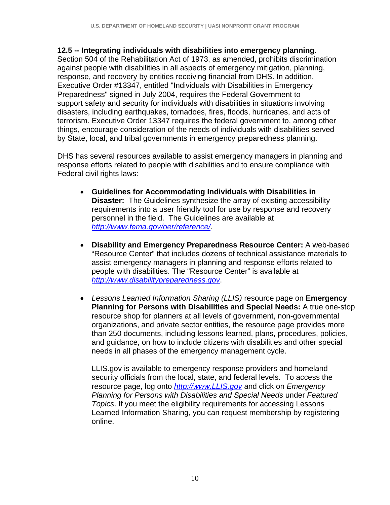#### **12.5 -- Integrating individuals with disabilities into emergency planning**.

Section 504 of the Rehabilitation Act of 1973, as amended, prohibits discrimination against people with disabilities in all aspects of emergency mitigation, planning, response, and recovery by entities receiving financial from DHS. In addition, Executive Order #13347, entitled "Individuals with Disabilities in Emergency Preparedness" signed in July 2004, requires the Federal Government to support safety and security for individuals with disabilities in situations involving disasters, including earthquakes, tornadoes, fires, floods, hurricanes, and acts of terrorism. Executive Order 13347 requires the federal government to, among other things, encourage consideration of the needs of individuals with disabilities served by State, local, and tribal governments in emergency preparedness planning.

DHS has several resources available to assist emergency managers in planning and response efforts related to people with disabilities and to ensure compliance with Federal civil rights laws:

- **Guidelines for Accommodating Individuals with Disabilities in Disaster:** The Guidelines synthesize the array of existing accessibility requirements into a user friendly tool for use by response and recovery personnel in the field. The Guidelines are available at *http://www.fema.gov/oer/reference/*.
- **Disability and Emergency Preparedness Resource Center:** A web-based "Resource Center" that includes dozens of technical assistance materials to assist emergency managers in planning and response efforts related to people with disabilities. The "Resource Center" is available at *http://www.disabilitypreparedness.gov*.
- *Lessons Learned Information Sharing (LLIS)* resource page on **Emergency Planning for Persons with Disabilities and Special Needs:** A true one-stop resource shop for planners at all levels of government, non-governmental organizations, and private sector entities, the resource page provides more than 250 documents, including lessons learned, plans, procedures, policies, and guidance, on how to include citizens with disabilities and other special needs in all phases of the emergency management cycle.

LLIS.gov is available to emergency response providers and homeland security officials from the local, state, and federal levels. To access the resource page, log onto *http://www.LLIS.gov* and click on *Emergency Planning for Persons with Disabilities and Special Needs* under *Featured Topics*. If you meet the eligibility requirements for accessing Lessons Learned Information Sharing, you can request membership by registering online.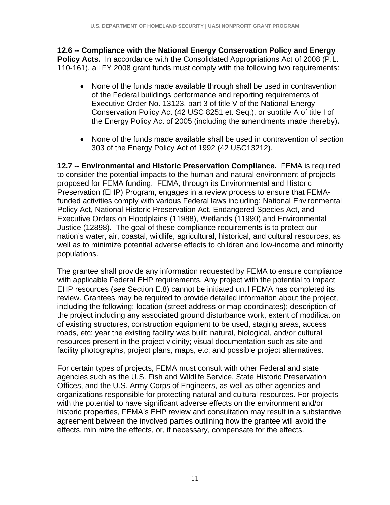**12.6 -- Compliance with the National Energy Conservation Policy and Energy Policy Acts.** In accordance with the Consolidated Appropriations Act of 2008 (P.L. 110-161), all FY 2008 grant funds must comply with the following two requirements:

- None of the funds made available through shall be used in contravention of the Federal buildings performance and reporting requirements of Executive Order No. 13123, part 3 of title V of the National Energy Conservation Policy Act (42 USC 8251 et. Seq.), or subtitle A of title I of the Energy Policy Act of 2005 (including the amendments made thereby)**.**
- None of the funds made available shall be used in contravention of section 303 of the Energy Policy Act of 1992 (42 USC13212).

**12.7 -- Environmental and Historic Preservation Compliance.** FEMA is required to consider the potential impacts to the human and natural environment of projects proposed for FEMA funding. FEMA, through its Environmental and Historic Preservation (EHP) Program, engages in a review process to ensure that FEMAfunded activities comply with various Federal laws including: National Environmental Policy Act, National Historic Preservation Act, Endangered Species Act, and Executive Orders on Floodplains (11988), Wetlands (11990) and Environmental Justice (12898). The goal of these compliance requirements is to protect our nation's water, air, coastal, wildlife, agricultural, historical, and cultural resources, as well as to minimize potential adverse effects to children and low-income and minority populations.

The grantee shall provide any information requested by FEMA to ensure compliance with applicable Federal EHP requirements. Any project with the potential to impact EHP resources (see Section E.8) cannot be initiated until FEMA has completed its review. Grantees may be required to provide detailed information about the project, including the following: location (street address or map coordinates); description of the project including any associated ground disturbance work, extent of modification of existing structures, construction equipment to be used, staging areas, access roads, etc; year the existing facility was built; natural, biological, and/or cultural resources present in the project vicinity; visual documentation such as site and facility photographs, project plans, maps, etc; and possible project alternatives.

For certain types of projects, FEMA must consult with other Federal and state agencies such as the U.S. Fish and Wildlife Service, State Historic Preservation Offices, and the U.S. Army Corps of Engineers, as well as other agencies and organizations responsible for protecting natural and cultural resources. For projects with the potential to have significant adverse effects on the environment and/or historic properties, FEMA's EHP review and consultation may result in a substantive agreement between the involved parties outlining how the grantee will avoid the effects, minimize the effects, or, if necessary, compensate for the effects.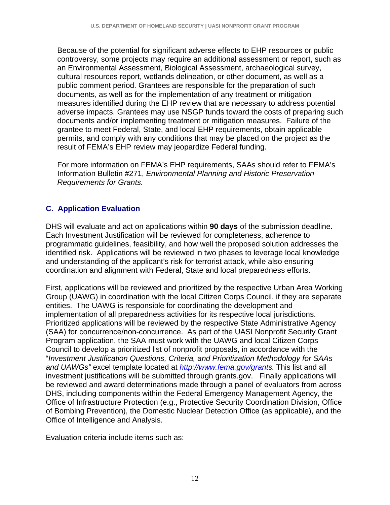Because of the potential for significant adverse effects to EHP resources or public controversy, some projects may require an additional assessment or report, such as an Environmental Assessment, Biological Assessment, archaeological survey, cultural resources report, wetlands delineation, or other document, as well as a public comment period. Grantees are responsible for the preparation of such documents, as well as for the implementation of any treatment or mitigation measures identified during the EHP review that are necessary to address potential adverse impacts. Grantees may use NSGP funds toward the costs of preparing such documents and/or implementing treatment or mitigation measures. Failure of the grantee to meet Federal, State, and local EHP requirements, obtain applicable permits, and comply with any conditions that may be placed on the project as the result of FEMA's EHP review may jeopardize Federal funding.

For more information on FEMA's EHP requirements, SAAs should refer to FEMA's Information Bulletin #271, *Environmental Planning and Historic Preservation Requirements for Grants.*

# **C. Application Evaluation**

DHS will evaluate and act on applications within **90 days** of the submission deadline. Each Investment Justification will be reviewed for completeness, adherence to programmatic guidelines, feasibility, and how well the proposed solution addresses the identified risk. Applications will be reviewed in two phases to leverage local knowledge and understanding of the applicant's risk for terrorist attack, while also ensuring coordination and alignment with Federal, State and local preparedness efforts.

First, applications will be reviewed and prioritized by the respective Urban Area Working Group (UAWG) in coordination with the local Citizen Corps Council, if they are separate entities. The UAWG is responsible for coordinating the development and implementation of all preparedness activities for its respective local jurisdictions. Prioritized applications will be reviewed by the respective State Administrative Agency (SAA) for concurrence/non-concurrence. As part of the UASI Nonprofit Security Grant Program application, the SAA must work with the UAWG and local Citizen Corps Council to develop a prioritized list of nonprofit proposals, in accordance with the "*Investment Justification Questions, Criteria, and Prioritization Methodology for SAAs and UAWGs"* excel template located at *http://www.fema.gov/grants.* This list and all investment justifications will be submitted through grants.gov. Finally applications will be reviewed and award determinations made through a panel of evaluators from across DHS, including components within the Federal Emergency Management Agency, the Office of Infrastructure Protection (e.g., Protective Security Coordination Division, Office of Bombing Prevention), the Domestic Nuclear Detection Office (as applicable), and the Office of Intelligence and Analysis.

Evaluation criteria include items such as: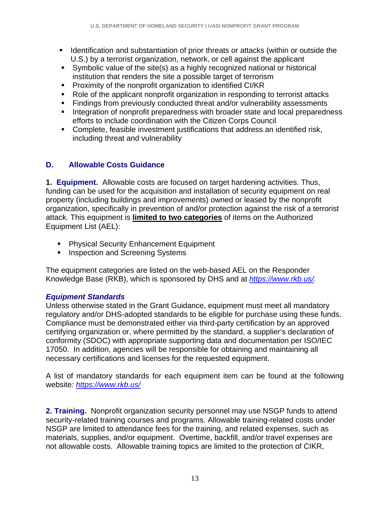- **IDENT** Identification and substantiation of prior threats or attacks (within or outside the U.S.) by a terrorist organization, network, or cell against the applicant
- Symbolic value of the site(s) as a highly recognized national or historical institution that renders the site a possible target of terrorism
- **Proximity of the nonprofit organization to identified CI/KR**
- Role of the applicant nonprofit organization in responding to terrorist attacks
- Findings from previously conducted threat and/or vulnerability assessments
- **Integration of nonprofit preparedness with broader state and local preparedness** efforts to include coordination with the Citizen Corps Council
- Complete, feasible investment justifications that address an identified risk, including threat and vulnerability

# **D. Allowable Costs Guidance**

**1. Equipment.** Allowable costs are focused on target hardening activities. Thus, funding can be used for the acquisition and installation of security equipment on real property (including buildings and improvements) owned or leased by the nonprofit organization, specifically in prevention of and/or protection against the risk of a terrorist attack. This equipment is **limited to two categories** of items on the Authorized Equipment List (AEL):

- **Physical Security Enhancement Equipment**
- **Inspection and Screening Systems**

The equipment categories are listed on the web-based AEL on the Responder Knowledge Base (RKB), which is sponsored by DHS and at *https://www.rkb.us/.* 

## *Equipment Standards*

Unless otherwise stated in the Grant Guidance, equipment must meet all mandatory regulatory and/or DHS-adopted standards to be eligible for purchase using these funds. Compliance must be demonstrated either via third-party certification by an approved certifying organization or, where permitted by the standard, a supplier's declaration of conformity (SDOC) with appropriate supporting data and documentation per ISO/IEC 17050. In addition, agencies will be responsible for obtaining and maintaining all necessary certifications and licenses for the requested equipment.

A list of mandatory standards for each equipment item can be found at the following website*: https://www.rkb.us/*

**2. Training.** Nonprofit organization security personnel may use NSGP funds to attend security-related training courses and programs. Allowable training-related costs under NSGP are limited to attendance fees for the training, and related expenses, such as materials, supplies, and/or equipment. Overtime, backfill, and/or travel expenses are not allowable costs. Allowable training topics are limited to the protection of CIKR,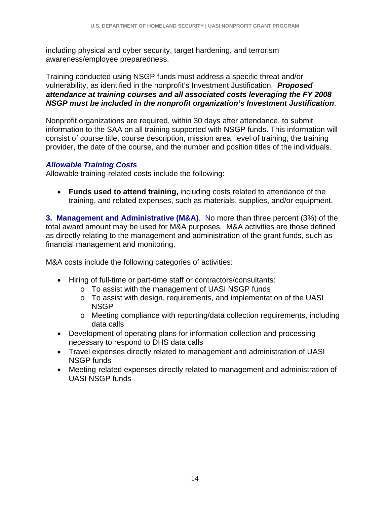including physical and cyber security, target hardening, and terrorism awareness/employee preparedness.

Training conducted using NSGP funds must address a specific threat and/or vulnerability, as identified in the nonprofit's Investment Justification. *Proposed attendance at training courses and all associated costs leveraging the FY 2008 NSGP must be included in the nonprofit organization's Investment Justification*.

Nonprofit organizations are required, within 30 days after attendance, to submit information to the SAA on all training supported with NSGP funds. This information will consist of course title, course description, mission area, level of training, the training provider, the date of the course, and the number and position titles of the individuals.

## *Allowable Training Costs*

Allowable training-related costs include the following:

• **Funds used to attend training,** including costs related to attendance of the training, and related expenses, such as materials, supplies, and/or equipment.

**3. Management and Administrative (M&A)**. No more than three percent (3%) of the total award amount may be used for M&A purposes. M&A activities are those defined as directly relating to the management and administration of the grant funds, such as financial management and monitoring.

M&A costs include the following categories of activities:

- Hiring of full-time or part-time staff or contractors/consultants:
	- o To assist with the management of UASI NSGP funds
	- o To assist with design, requirements, and implementation of the UASI **NSGP**
	- o Meeting compliance with reporting/data collection requirements, including data calls
- Development of operating plans for information collection and processing necessary to respond to DHS data calls
- Travel expenses directly related to management and administration of UASI NSGP funds
- Meeting-related expenses directly related to management and administration of UASI NSGP funds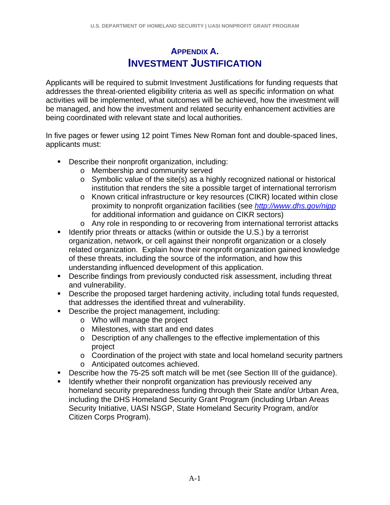# **APPENDIX A. INVESTMENT JUSTIFICATION**

Applicants will be required to submit Investment Justifications for funding requests that addresses the threat-oriented eligibility criteria as well as specific information on what activities will be implemented, what outcomes will be achieved, how the investment will be managed, and how the investment and related security enhancement activities are being coordinated with relevant state and local authorities.

In five pages or fewer using 12 point Times New Roman font and double-spaced lines, applicants must:

- **Describe their nonprofit organization, including:** 
	- o Membership and community served
	- o Symbolic value of the site(s) as a highly recognized national or historical institution that renders the site a possible target of international terrorism
	- o Known critical infrastructure or key resources (CIKR) located within close proximity to nonprofit organization facilities (see *http://www.dhs.gov/nipp* for additional information and guidance on CIKR sectors)
	- o Any role in responding to or recovering from international terrorist attacks
- **IDEDEPT IDEDEPT IS A THE IDEDEPT IS A THE IDEDEPT IS A THAT IS A THAT IS A THAT IS A THAT IS A THAT IS A THAT I** organization, network, or cell against their nonprofit organization or a closely related organization. Explain how their nonprofit organization gained knowledge of these threats, including the source of the information, and how this understanding influenced development of this application.
- **Describe findings from previously conducted risk assessment, including threat** and vulnerability.
- Describe the proposed target hardening activity, including total funds requested, that addresses the identified threat and vulnerability.
- Describe the project management, including:
	- o Who will manage the project
	- o Milestones, with start and end dates
	- o Description of any challenges to the effective implementation of this project
	- o Coordination of the project with state and local homeland security partners
	- o Anticipated outcomes achieved.
- Describe how the 75-25 soft match will be met (see Section III of the quidance).
- **If Identify whether their nonprofit organization has previously received any** homeland security preparedness funding through their State and/or Urban Area, including the DHS Homeland Security Grant Program (including Urban Areas Security Initiative, UASI NSGP, State Homeland Security Program, and/or Citizen Corps Program).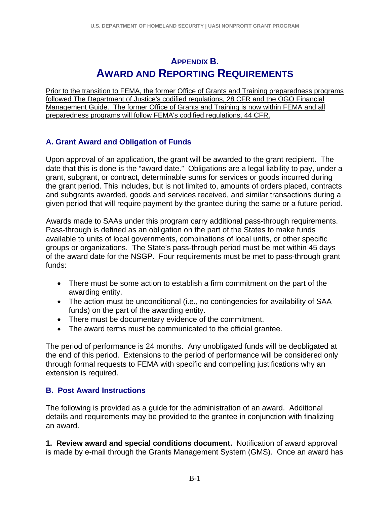# **APPENDIX B. AWARD AND REPORTING REQUIREMENTS**

Prior to the transition to FEMA, the former Office of Grants and Training preparedness programs followed The Department of Justice's codified regulations, 28 CFR and the OGO Financial Management Guide. The former Office of Grants and Training is now within FEMA and all preparedness programs will follow FEMA's codified regulations, 44 CFR.

# **A. Grant Award and Obligation of Funds**

Upon approval of an application, the grant will be awarded to the grant recipient. The date that this is done is the "award date." Obligations are a legal liability to pay, under a grant, subgrant, or contract, determinable sums for services or goods incurred during the grant period. This includes, but is not limited to, amounts of orders placed, contracts and subgrants awarded, goods and services received, and similar transactions during a given period that will require payment by the grantee during the same or a future period.

Awards made to SAAs under this program carry additional pass-through requirements. Pass-through is defined as an obligation on the part of the States to make funds available to units of local governments, combinations of local units, or other specific groups or organizations. The State's pass-through period must be met within 45 days of the award date for the NSGP. Four requirements must be met to pass-through grant funds:

- There must be some action to establish a firm commitment on the part of the awarding entity.
- The action must be unconditional (i.e., no contingencies for availability of SAA funds) on the part of the awarding entity.
- There must be documentary evidence of the commitment.
- The award terms must be communicated to the official grantee.

The period of performance is 24 months. Any unobligated funds will be deobligated at the end of this period. Extensions to the period of performance will be considered only through formal requests to FEMA with specific and compelling justifications why an extension is required.

## **B. Post Award Instructions**

The following is provided as a guide for the administration of an award. Additional details and requirements may be provided to the grantee in conjunction with finalizing an award.

**1. Review award and special conditions document.** Notification of award approval is made by e-mail through the Grants Management System (GMS). Once an award has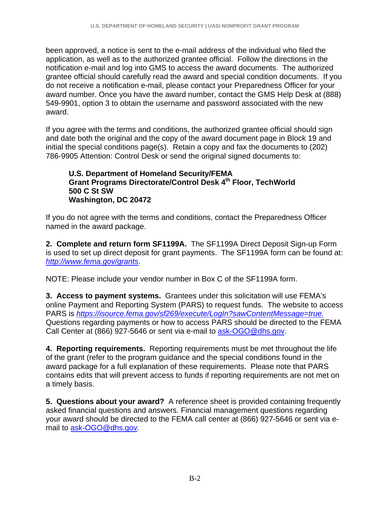been approved, a notice is sent to the e-mail address of the individual who filed the application, as well as to the authorized grantee official.Follow the directions in the notification e-mail and log into GMS to access the award documents. The authorized grantee official should carefully read the award and special condition documents. If you do not receive a notification e-mail, please contact your Preparedness Officer for your award number. Once you have the award number, contact the GMS Help Desk at (888) 549-9901, option 3 to obtain the username and password associated with the new award.

If you agree with the terms and conditions, the authorized grantee official should sign and date both the original and the copy of the award document page in Block 19 and initial the special conditions page(s). Retain a copy and fax the documents to (202) 786-9905 Attention: Control Desk or send the original signed documents to:

#### **U.S. Department of Homeland Security/FEMA Grant Programs Directorate/Control Desk 4th Floor, TechWorld 500 C St SW Washington, DC 20472**

If you do not agree with the terms and conditions, contact the Preparedness Officer named in the award package.

**2. Complete and return form SF1199A.** The SF1199A Direct Deposit Sign-up Form is used to set up direct deposit for grant payments. The SF1199A form can be found at: *http://www.fema.gov/grants*.

NOTE: Please include your vendor number in Box C of the SF1199A form.

**3. Access to payment systems.** Grantees under this solicitation will use FEMA's online Payment and Reporting System (PARS) to request funds. The website to access PARS is *https://isource.fema.gov/sf269/execute/LogIn?sawContentMessage=true.* Questions regarding payments or how to access PARS should be directed to the FEMA Call Center at (866) 927-5646 or sent via e-mail to ask-OGO@dhs.gov.

**4. Reporting requirements.** Reporting requirements must be met throughout the life of the grant (refer to the program guidance and the special conditions found in the award package for a full explanation of these requirements. Please note that PARS contains edits that will prevent access to funds if reporting requirements are not met on a timely basis.

**5. Questions about your award?** A reference sheet is provided containing frequently asked financial questions and answers. Financial management questions regarding your award should be directed to the FEMA call center at (866) 927-5646 or sent via email to ask-OGO@dhs.gov*.*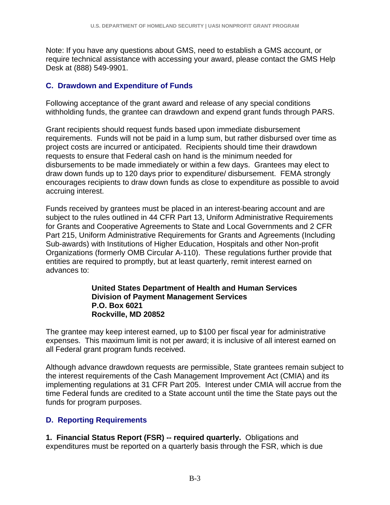Note: If you have any questions about GMS, need to establish a GMS account, or require technical assistance with accessing your award, please contact the GMS Help Desk at (888) 549-9901.

#### **C. Drawdown and Expenditure of Funds**

Following acceptance of the grant award and release of any special conditions withholding funds, the grantee can drawdown and expend grant funds through PARS.

Grant recipients should request funds based upon immediate disbursement requirements. Funds will not be paid in a lump sum, but rather disbursed over time as project costs are incurred or anticipated. Recipients should time their drawdown requests to ensure that Federal cash on hand is the minimum needed for disbursements to be made immediately or within a few days. Grantees may elect to draw down funds up to 120 days prior to expenditure/ disbursement. FEMA strongly encourages recipients to draw down funds as close to expenditure as possible to avoid accruing interest.

Funds received by grantees must be placed in an interest-bearing account and are subject to the rules outlined in 44 CFR Part 13, Uniform Administrative Requirements for Grants and Cooperative Agreements to State and Local Governments and 2 CFR Part 215, Uniform Administrative Requirements for Grants and Agreements (Including Sub-awards) with Institutions of Higher Education, Hospitals and other Non-profit Organizations (formerly OMB Circular A-110).These regulations further provide that entities are required to promptly, but at least quarterly, remit interest earned on advances to:

#### **United States Department of Health and Human Services Division of Payment Management Services P.O. Box 6021 Rockville, MD 20852**

The grantee may keep interest earned, up to \$100 per fiscal year for administrative expenses. This maximum limit is not per award; it is inclusive of all interest earned on all Federal grant program funds received.

Although advance drawdown requests are permissible, State grantees remain subject to the interest requirements of the Cash Management Improvement Act (CMIA) and its implementing regulations at 31 CFR Part 205. Interest under CMIA will accrue from the time Federal funds are credited to a State account until the time the State pays out the funds for program purposes.

## **D. Reporting Requirements**

**1. Financial Status Report (FSR) -- required quarterly.** Obligations and expenditures must be reported on a quarterly basis through the FSR, which is due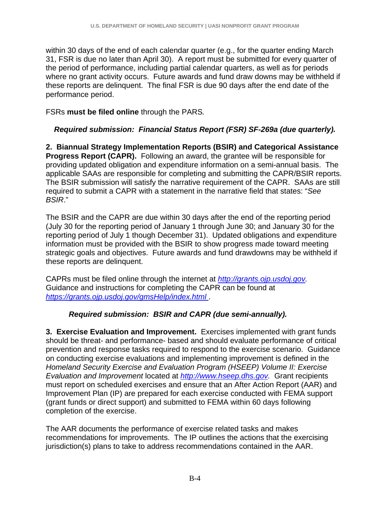within 30 days of the end of each calendar quarter (e.g., for the quarter ending March 31, FSR is due no later than April 30). A report must be submitted for every quarter of the period of performance, including partial calendar quarters, as well as for periods where no grant activity occurs. Future awards and fund draw downs may be withheld if these reports are delinquent. The final FSR is due 90 days after the end date of the performance period.

FSRs **must be filed online** through the PARS*.*

# *Required submission: Financial Status Report (FSR) SF-269a (due quarterly).*

**2. Biannual Strategy Implementation Reports (BSIR) and Categorical Assistance Progress Report (CAPR).** Following an award, the grantee will be responsible for providing updated obligation and expenditure information on a semi-annual basis. The applicable SAAs are responsible for completing and submitting the CAPR/BSIR reports. The BSIR submission will satisfy the narrative requirement of the CAPR. SAAs are still required to submit a CAPR with a statement in the narrative field that states: "*See BSIR*."

The BSIR and the CAPR are due within 30 days after the end of the reporting period (July 30 for the reporting period of January 1 through June 30; and January 30 for the reporting period of July 1 though December 31). Updated obligations and expenditure information must be provided with the BSIR to show progress made toward meeting strategic goals and objectives. Future awards and fund drawdowns may be withheld if these reports are delinquent.

CAPRs must be filed online through the internet at *http://grants.ojp.usdoj.gov.* Guidance and instructions for completing the CAPR can be found at *https://grants.ojp.usdoj.gov/gmsHelp/index.html* .

# *Required submission: BSIR and CAPR (due semi-annually).*

**3. Exercise Evaluation and Improvement.** Exercises implemented with grant funds should be threat- and performance- based and should evaluate performance of critical prevention and response tasks required to respond to the exercise scenario. Guidance on conducting exercise evaluations and implementing improvement is defined in the *Homeland Security Exercise and Evaluation Program (HSEEP) Volume II: Exercise Evaluation and Improvement* located at *http://www.hseep.dhs.gov.* Grant recipients must report on scheduled exercises and ensure that an After Action Report (AAR) and Improvement Plan (IP) are prepared for each exercise conducted with FEMA support (grant funds or direct support) and submitted to FEMA within 60 days following completion of the exercise.

The AAR documents the performance of exercise related tasks and makes recommendations for improvements. The IP outlines the actions that the exercising jurisdiction(s) plans to take to address recommendations contained in the AAR.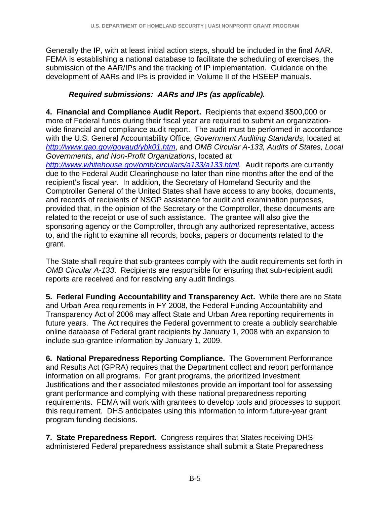Generally the IP, with at least initial action steps, should be included in the final AAR. FEMA is establishing a national database to facilitate the scheduling of exercises, the submission of the AAR/IPs and the tracking of IP implementation. Guidance on the development of AARs and IPs is provided in Volume II of the HSEEP manuals.

# *Required submissions: AARs and IPs (as applicable).*

**4. Financial and Compliance Audit Report.** Recipients that expend \$500,000 or more of Federal funds during their fiscal year are required to submit an organizationwide financial and compliance audit report. The audit must be performed in accordance with the U.S. General Accountability Office, *Government Auditing Standards*, located at *http://www.gao.gov/govaud/ybk01.htm*, and *OMB Circular A-133, Audits of States, Local Governments, and Non-Profit Organizations*, located at

*http://www.whitehouse.gov/omb/circulars/a133/a133.html.* Audit reports are currently due to the Federal Audit Clearinghouse no later than nine months after the end of the recipient's fiscal year. In addition, the Secretary of Homeland Security and the Comptroller General of the United States shall have access to any books, documents, and records of recipients of NSGP assistance for audit and examination purposes, provided that, in the opinion of the Secretary or the Comptroller, these documents are related to the receipt or use of such assistance. The grantee will also give the sponsoring agency or the Comptroller, through any authorized representative, access to, and the right to examine all records, books, papers or documents related to the grant.

The State shall require that sub-grantees comply with the audit requirements set forth in *OMB Circular A-133*. Recipients are responsible for ensuring that sub-recipient audit reports are received and for resolving any audit findings.

**5. Federal Funding Accountability and Transparency Act.** While there are no State and Urban Area requirements in FY 2008, the Federal Funding Accountability and Transparency Act of 2006 may affect State and Urban Area reporting requirements in future years. The Act requires the Federal government to create a publicly searchable online database of Federal grant recipients by January 1, 2008 with an expansion to include sub-grantee information by January 1, 2009.

**6. National Preparedness Reporting Compliance.** The Government Performance and Results Act (GPRA) requires that the Department collect and report performance information on all programs. For grant programs, the prioritized Investment Justifications and their associated milestones provide an important tool for assessing grant performance and complying with these national preparedness reporting requirements. FEMA will work with grantees to develop tools and processes to support this requirement. DHS anticipates using this information to inform future-year grant program funding decisions.

**7. State Preparedness Report.**Congress requires that States receiving DHSadministered Federal preparedness assistance shall submit a State Preparedness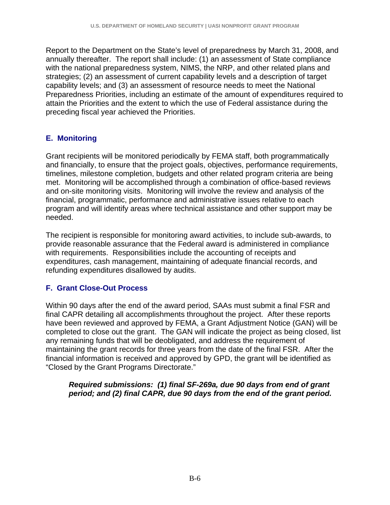Report to the Department on the State's level of preparedness by March 31, 2008, and annually thereafter. The report shall include: (1) an assessment of State compliance with the national preparedness system, NIMS, the NRP, and other related plans and strategies; (2) an assessment of current capability levels and a description of target capability levels; and (3) an assessment of resource needs to meet the National Preparedness Priorities, including an estimate of the amount of expenditures required to attain the Priorities and the extent to which the use of Federal assistance during the preceding fiscal year achieved the Priorities.

# **E. Monitoring**

Grant recipients will be monitored periodically by FEMA staff, both programmatically and financially, to ensure that the project goals, objectives, performance requirements, timelines, milestone completion, budgets and other related program criteria are being met. Monitoring will be accomplished through a combination of office-based reviews and on-site monitoring visits. Monitoring will involve the review and analysis of the financial, programmatic, performance and administrative issues relative to each program and will identify areas where technical assistance and other support may be needed.

The recipient is responsible for monitoring award activities, to include sub-awards, to provide reasonable assurance that the Federal award is administered in compliance with requirements. Responsibilities include the accounting of receipts and expenditures, cash management, maintaining of adequate financial records, and refunding expenditures disallowed by audits.

## **F. Grant Close-Out Process**

Within 90 days after the end of the award period, SAAs must submit a final FSR and final CAPR detailing all accomplishments throughout the project. After these reports have been reviewed and approved by FEMA, a Grant Adjustment Notice (GAN) will be completed to close out the grant. The GAN will indicate the project as being closed, list any remaining funds that will be deobligated, and address the requirement of maintaining the grant records for three years from the date of the final FSR. After the financial information is received and approved by GPD, the grant will be identified as "Closed by the Grant Programs Directorate."

#### *Required submissions: (1) final SF-269a, due 90 days from end of grant period; and (2) final CAPR, due 90 days from the end of the grant period.*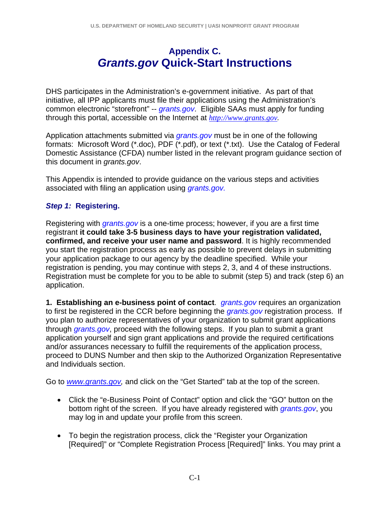# **Appendix C.**  *Grants.gov* **Quick-Start Instructions**

DHS participates in the Administration's e-government initiative. As part of that initiative, all IPP applicants must file their applications using the Administration's common electronic "storefront" -- *grants.gov*. Eligible SAAs must apply for funding through this portal, accessible on the Internet at *http://www.grants.gov.*

Application attachments submitted via *grants.gov* must be in one of the following formats: Microsoft Word (\*.doc), PDF (\*.pdf), or text (\*.txt). Use the Catalog of Federal Domestic Assistance (CFDA) number listed in the relevant program guidance section of this document in *grants.gov*.

This Appendix is intended to provide guidance on the various steps and activities associated with filing an application using *grants.gov.* 

# *Step 1:* **Registering.**

Registering with *grants.gov* is a one-time process; however, if you are a first time registrant **it could take 3-5 business days to have your registration validated, confirmed, and receive your user name and password**. It is highly recommended you start the registration process as early as possible to prevent delays in submitting your application package to our agency by the deadline specified. While your registration is pending, you may continue with steps 2, 3, and 4 of these instructions. Registration must be complete for you to be able to submit (step 5) and track (step 6) an application.

**1. Establishing an e-business point of contact**. *grants.gov* requires an organization to first be registered in the CCR before beginning the *grants.gov* registration process. If you plan to authorize representatives of your organization to submit grant applications through *grants.gov*, proceed with the following steps. If you plan to submit a grant application yourself and sign grant applications and provide the required certifications and/or assurances necessary to fulfill the requirements of the application process, proceed to DUNS Number and then skip to the Authorized Organization Representative and Individuals section.

Go to *www.grants.gov,* and click on the "Get Started" tab at the top of the screen.

- Click the "e-Business Point of Contact" option and click the "GO" button on the bottom right of the screen. If you have already registered with *grants.gov*, you may log in and update your profile from this screen.
- To begin the registration process, click the "Register your Organization [Required]" or "Complete Registration Process [Required]" links. You may print a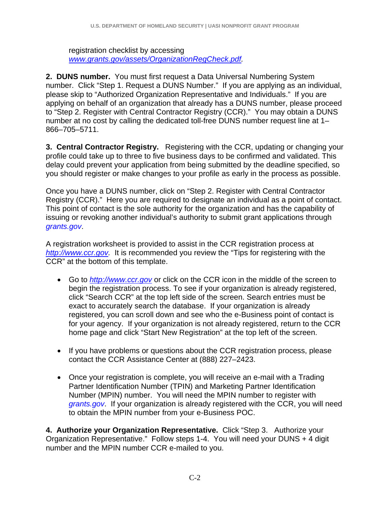registration checklist by accessing *www.grants.gov/assets/OrganizationRegCheck.pdf.* 

**2. DUNS number.** You must first request a Data Universal Numbering System number. Click "Step 1. Request a DUNS Number." If you are applying as an individual, please skip to "Authorized Organization Representative and Individuals." If you are applying on behalf of an organization that already has a DUNS number, please proceed to "Step 2. Register with Central Contractor Registry (CCR)." You may obtain a DUNS number at no cost by calling the dedicated toll-free DUNS number request line at 1– 866–705–5711.

**3. Central Contractor Registry.** Registering with the CCR, updating or changing your profile could take up to three to five business days to be confirmed and validated. This delay could prevent your application from being submitted by the deadline specified, so you should register or make changes to your profile as early in the process as possible.

Once you have a DUNS number, click on "Step 2. Register with Central Contractor Registry (CCR)." Here you are required to designate an individual as a point of contact. This point of contact is the sole authority for the organization and has the capability of issuing or revoking another individual's authority to submit grant applications through *grants.gov*.

A registration worksheet is provided to assist in the CCR registration process at *http://www.ccr.gov.* It is recommended you review the "Tips for registering with the CCR" at the bottom of this template.

- Go to *http://www.ccr.gov* or click on the CCR icon in the middle of the screen to begin the registration process. To see if your organization is already registered, click "Search CCR" at the top left side of the screen. Search entries must be exact to accurately search the database. If your organization is already registered, you can scroll down and see who the e-Business point of contact is for your agency. If your organization is not already registered, return to the CCR home page and click "Start New Registration" at the top left of the screen.
- If you have problems or questions about the CCR registration process, please contact the CCR Assistance Center at (888) 227–2423.
- Once your registration is complete, you will receive an e-mail with a Trading Partner Identification Number (TPIN) and Marketing Partner Identification Number (MPIN) number. You will need the MPIN number to register with *grants.gov*. If your organization is already registered with the CCR, you will need to obtain the MPIN number from your e-Business POC.

**4. Authorize your Organization Representative.** Click "Step 3. Authorize your Organization Representative." Follow steps 1-4. You will need your DUNS + 4 digit number and the MPIN number CCR e-mailed to you.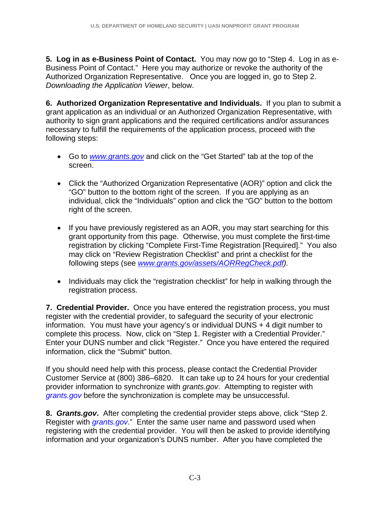**5. Log in as e-Business Point of Contact.** You may now go to "Step 4. Log in as e-Business Point of Contact." Here you may authorize or revoke the authority of the Authorized Organization Representative. Once you are logged in, go to Step 2. *Downloading the Application Viewer*, below.

**6. Authorized Organization Representative and Individuals.** If you plan to submit a grant application as an individual or an Authorized Organization Representative, with authority to sign grant applications and the required certifications and/or assurances necessary to fulfill the requirements of the application process, proceed with the following steps:

- Go to *www.grants.gov* and click on the "Get Started" tab at the top of the screen.
- Click the "Authorized Organization Representative (AOR)" option and click the "GO" button to the bottom right of the screen. If you are applying as an individual, click the "Individuals" option and click the "GO" button to the bottom right of the screen.
- If you have previously registered as an AOR, you may start searching for this grant opportunity from this page. Otherwise, you must complete the first-time registration by clicking "Complete First-Time Registration [Required]." You also may click on "Review Registration Checklist" and print a checklist for the following steps (see *www.grants.gov/assets/AORRegCheck.pdf).*
- Individuals may click the "registration checklist" for help in walking through the registration process.

**7. Credential Provider.** Once you have entered the registration process, you must register with the credential provider, to safeguard the security of your electronic information. You must have your agency's or individual DUNS + 4 digit number to complete this process. Now, click on "Step 1. Register with a Credential Provider." Enter your DUNS number and click "Register." Once you have entered the required information, click the "Submit" button.

If you should need help with this process, please contact the Credential Provider Customer Service at (800) 386–6820. It can take up to 24 hours for your credential provider information to synchronize with *grants.gov*. Attempting to register with *grants.gov* before the synchronization is complete may be unsuccessful.

**8.** *Grants.gov***.** After completing the credential provider steps above, click "Step 2. Register with *grants.gov*." Enter the same user name and password used when registering with the credential provider. You will then be asked to provide identifying information and your organization's DUNS number. After you have completed the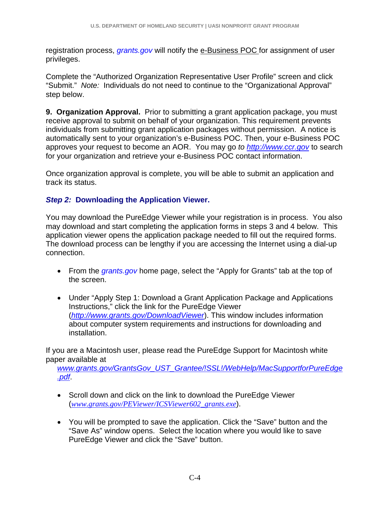registration process, *grants.gov* will notify the e-Business POC for assignment of user privileges.

Complete the "Authorized Organization Representative User Profile" screen and click "Submit." *Note:*Individuals do not need to continue to the "Organizational Approval" step below.

**9. Organization Approval.** Prior to submitting a grant application package, you must receive approval to submit on behalf of your organization. This requirement prevents individuals from submitting grant application packages without permission. A notice is automatically sent to your organization's e-Business POC. Then, your e-Business POC approves your request to become an AOR. You may go *to http://www.ccr.gov* to search for your organization and retrieve your e-Business POC contact information.

Once organization approval is complete, you will be able to submit an application and track its status.

# *Step 2:* **Downloading the Application Viewer.**

You may download the PureEdge Viewer while your registration is in process. You also may download and start completing the application forms in steps 3 and 4 below. This application viewer opens the application package needed to fill out the required forms. The download process can be lengthy if you are accessing the Internet using a dial-up connection.

- From the *grants.gov* home page, select the "Apply for Grants" tab at the top of the screen.
- Under "Apply Step 1: Download a Grant Application Package and Applications Instructions," click the link for the PureEdge Viewer (*http://www.grants.gov/DownloadViewer*). This window includes information about computer system requirements and instructions for downloading and installation.

If you are a Macintosh user, please read the PureEdge Support for Macintosh white paper available at

*www.grants.gov/GrantsGov\_UST\_Grantee/!SSL!/WebHelp/MacSupportforPureEdge .pdf*.

- Scroll down and click on the link to download the PureEdge Viewer (*www.grants.gov/PEViewer/ICSViewer602\_grants.exe*).
- You will be prompted to save the application. Click the "Save" button and the "Save As" window opens. Select the location where you would like to save PureEdge Viewer and click the "Save" button.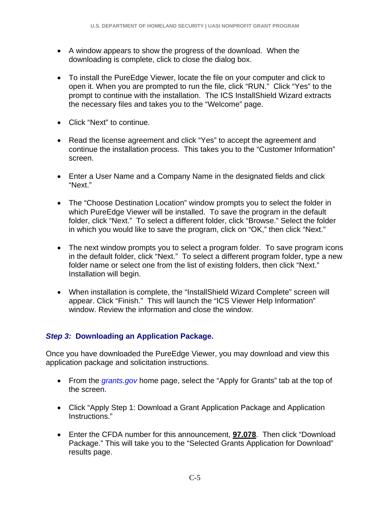- A window appears to show the progress of the download. When the downloading is complete, click to close the dialog box.
- To install the PureEdge Viewer, locate the file on your computer and click to open it. When you are prompted to run the file, click "RUN." Click "Yes" to the prompt to continue with the installation. The ICS InstallShield Wizard extracts the necessary files and takes you to the "Welcome" page.
- Click "Next" to continue.
- Read the license agreement and click "Yes" to accept the agreement and continue the installation process. This takes you to the "Customer Information" screen.
- Enter a User Name and a Company Name in the designated fields and click "Next."
- The "Choose Destination Location" window prompts you to select the folder in which PureEdge Viewer will be installed. To save the program in the default folder, click "Next." To select a different folder, click "Browse." Select the folder in which you would like to save the program, click on "OK," then click "Next."
- The next window prompts you to select a program folder. To save program icons in the default folder, click "Next." To select a different program folder, type a new folder name or select one from the list of existing folders, then click "Next." Installation will begin.
- When installation is complete, the "InstallShield Wizard Complete" screen will appear. Click "Finish." This will launch the "ICS Viewer Help Information" window. Review the information and close the window.

# *Step 3:* **Downloading an Application Package.**

Once you have downloaded the PureEdge Viewer, you may download and view this application package and solicitation instructions.

- From the *grants.gov* home page, select the "Apply for Grants" tab at the top of the screen.
- Click "Apply Step 1: Download a Grant Application Package and Application Instructions."
- Enter the CFDA number for this announcement, **97.078**. Then click "Download Package." This will take you to the "Selected Grants Application for Download" results page.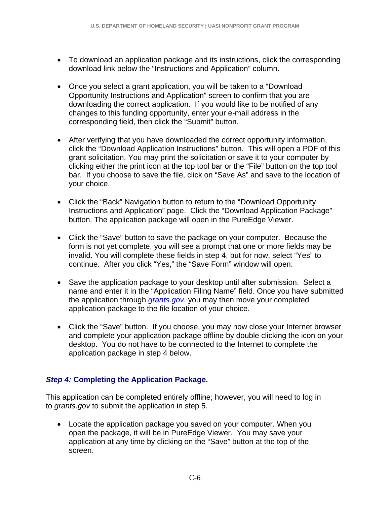- To download an application package and its instructions, click the corresponding download link below the "Instructions and Application" column.
- Once you select a grant application, you will be taken to a "Download Opportunity Instructions and Application" screen to confirm that you are downloading the correct application. If you would like to be notified of any changes to this funding opportunity, enter your e-mail address in the corresponding field, then click the "Submit" button.
- After verifying that you have downloaded the correct opportunity information, click the "Download Application Instructions" button. This will open a PDF of this grant solicitation. You may print the solicitation or save it to your computer by clicking either the print icon at the top tool bar or the "File" button on the top tool bar. If you choose to save the file, click on "Save As" and save to the location of your choice.
- Click the "Back" Navigation button to return to the "Download Opportunity Instructions and Application" page. Click the "Download Application Package" button. The application package will open in the PureEdge Viewer.
- Click the "Save" button to save the package on your computer. Because the form is not yet complete, you will see a prompt that one or more fields may be invalid. You will complete these fields in step 4, but for now, select "Yes" to continue. After you click "Yes," the "Save Form" window will open.
- Save the application package to your desktop until after submission. Select a name and enter it in the "Application Filing Name" field. Once you have submitted the application through *grants.gov*, you may then move your completed application package to the file location of your choice.
- Click the "Save" button. If you choose, you may now close your Internet browser and complete your application package offline by double clicking the icon on your desktop. You do not have to be connected to the Internet to complete the application package in step 4 below.

# *Step 4:* **Completing the Application Package.**

This application can be completed entirely offline; however, you will need to log in to *grants.gov* to submit the application in step 5.

• Locate the application package you saved on your computer. When you open the package, it will be in PureEdge Viewer. You may save your application at any time by clicking on the "Save" button at the top of the screen.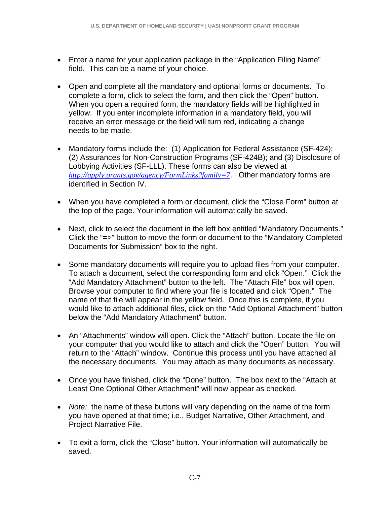- Enter a name for your application package in the "Application Filing Name" field. This can be a name of your choice.
- Open and complete all the mandatory and optional forms or documents. To complete a form, click to select the form, and then click the "Open" button. When you open a required form, the mandatory fields will be highlighted in yellow. If you enter incomplete information in a mandatory field, you will receive an error message or the field will turn red, indicating a change needs to be made.
- Mandatory forms include the: (1) Application for Federal Assistance (SF-424); (2) Assurances for Non-Construction Programs (SF-424B); and (3) Disclosure of Lobbying Activities (SF-LLL). These forms can also be viewed at *http://apply.grants.gov/agency/FormLinks?family=7*. Other mandatory forms are identified in Section IV.
- When you have completed a form or document, click the "Close Form" button at the top of the page. Your information will automatically be saved.
- Next, click to select the document in the left box entitled "Mandatory Documents." Click the "=>" button to move the form or document to the "Mandatory Completed Documents for Submission" box to the right.
- Some mandatory documents will require you to upload files from your computer. To attach a document, select the corresponding form and click "Open." Click the "Add Mandatory Attachment" button to the left. The "Attach File" box will open. Browse your computer to find where your file is located and click "Open." The name of that file will appear in the yellow field. Once this is complete, if you would like to attach additional files, click on the "Add Optional Attachment" button below the "Add Mandatory Attachment" button.
- An "Attachments" window will open. Click the "Attach" button. Locate the file on your computer that you would like to attach and click the "Open" button. You will return to the "Attach" window. Continue this process until you have attached all the necessary documents. You may attach as many documents as necessary.
- Once you have finished, click the "Done" button. The box next to the "Attach at Least One Optional Other Attachment" will now appear as checked.
- *Note:* the name of these buttons will vary depending on the name of the form you have opened at that time; i.e., Budget Narrative, Other Attachment, and Project Narrative File.
- To exit a form, click the "Close" button. Your information will automatically be saved.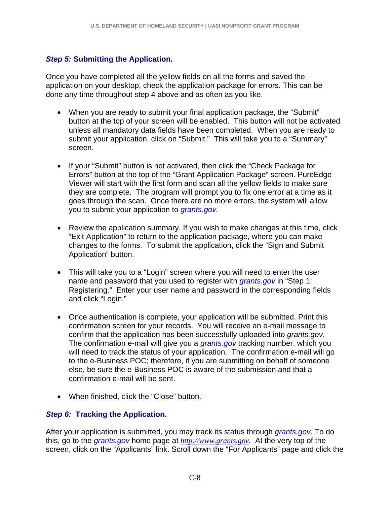# *Step 5:* **Submitting the Application.**

Once you have completed all the yellow fields on all the forms and saved the application on your desktop, check the application package for errors. This can be done any time throughout step 4 above and as often as you like.

- When you are ready to submit your final application package, the "Submit" button at the top of your screen will be enabled. This button will not be activated unless all mandatory data fields have been completed. When you are ready to submit your application, click on "Submit." This will take you to a "Summary" screen.
- If your "Submit" button is not activated, then click the "Check Package for Errors" button at the top of the "Grant Application Package" screen. PureEdge Viewer will start with the first form and scan all the yellow fields to make sure they are complete. The program will prompt you to fix one error at a time as it goes through the scan. Once there are no more errors, the system will allow you to submit your application to *grants.gov.*
- Review the application summary. If you wish to make changes at this time, click "Exit Application" to return to the application package, where you can make changes to the forms. To submit the application, click the "Sign and Submit Application" button.
- This will take you to a "Login" screen where you will need to enter the user name and password that you used to register with *grants.gov* in "Step 1: Registering." Enter your user name and password in the corresponding fields and click "Login."
- Once authentication is complete, your application will be submitted. Print this confirmation screen for your records. You will receive an e-mail message to confirm that the application has been successfully uploaded into *grants.gov*. The confirmation e-mail will give you a *grants.gov* tracking number, which you will need to track the status of your application. The confirmation e-mail will go to the e-Business POC; therefore, if you are submitting on behalf of someone else, be sure the e-Business POC is aware of the submission and that a confirmation e-mail will be sent.
- When finished, click the "Close" button.

## *Step 6:* **Tracking the Application.**

After your application is submitted, you may track its status through *grants.gov*. To do this, go to the *grants.gov* home page at *http://www.grants.gov.* At the very top of the screen, click on the "Applicants" link. Scroll down the "For Applicants" page and click the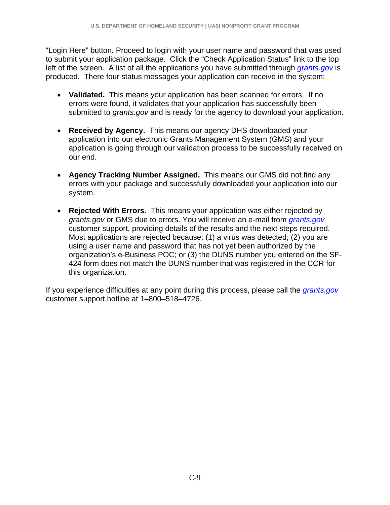"Login Here" button. Proceed to login with your user name and password that was used to submit your application package. Click the "Check Application Status" link to the top left of the screen. A list of all the applications you have submitted through *grants.gov* is produced. There four status messages your application can receive in the system:

- **Validated.** This means your application has been scanned for errors. If no errors were found, it validates that your application has successfully been submitted to *grants.gov* and is ready for the agency to download your application.
- **Received by Agency.** This means our agency DHS downloaded your application into our electronic Grants Management System (GMS) and your application is going through our validation process to be successfully received on our end.
- **Agency Tracking Number Assigned.** This means our GMS did not find any errors with your package and successfully downloaded your application into our system.
- **Rejected With Errors.** This means your application was either rejected by *grants.gov* or GMS due to errors. You will receive an e-mail from *grants.gov* customer support, providing details of the results and the next steps required. Most applications are rejected because: (1) a virus was detected; (2) you are using a user name and password that has not yet been authorized by the organization's e-Business POC; or (3) the DUNS number you entered on the SF-424 form does not match the DUNS number that was registered in the CCR for this organization.

If you experience difficulties at any point during this process, please call the *grants.gov* customer support hotline at 1–800–518–4726.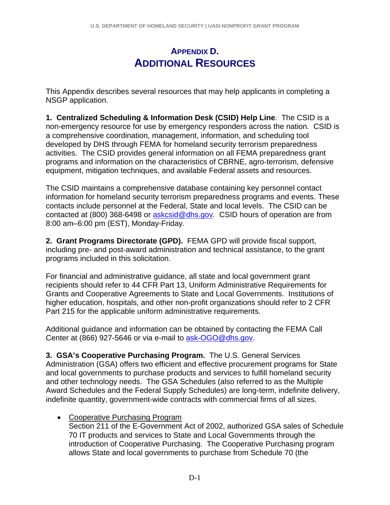# **APPENDIX D. ADDITIONAL RESOURCES**

This Appendix describes several resources that may help applicants in completing a NSGP application.

**1. Centralized Scheduling & Information Desk (CSID) Help Line**. The CSID is a non-emergency resource for use by emergency responders across the nation. CSID is a comprehensive coordination, management, information, and scheduling tool developed by DHS through FEMA for homeland security terrorism preparedness activities. The CSID provides general information on all FEMA preparedness grant programs and information on the characteristics of CBRNE, agro-terrorism, defensive equipment, mitigation techniques, and available Federal assets and resources.

The CSID maintains a comprehensive database containing key personnel contact information for homeland security terrorism preparedness programs and events. These contacts include personnel at the Federal, State and local levels. The CSID can be contacted at (800) 368-6498 or askcsid@dhs.gov*.* CSID hours of operation are from 8:00 am–6:00 pm (EST), Monday-Friday.

**2. Grant Programs Directorate (GPD).** FEMA GPD will provide fiscal support, including pre- and post-award administration and technical assistance, to the grant programs included in this solicitation.

For financial and administrative guidance, all state and local government grant recipients should refer to 44 CFR Part 13, Uniform Administrative Requirements for Grants and Cooperative Agreements to State and Local Governments. Institutions of higher education, hospitals, and other non-profit organizations should refer to 2 CFR Part 215 for the applicable uniform administrative requirements.

Additional guidance and information can be obtained by contacting the FEMA Call Center at (866) 927-5646 or via e-mail to ask-OGO@dhs.gov.

**3. GSA's Cooperative Purchasing Program.** The U.S. General Services Administration (GSA) offers two efficient and effective procurement programs for State and local governments to purchase products and services to fulfill homeland security and other technology needs. The GSA Schedules (also referred to as the Multiple Award Schedules and the Federal Supply Schedules) are long-term, indefinite delivery, indefinite quantity, government-wide contracts with commercial firms of all sizes.

• Cooperative Purchasing Program

Section 211 of the E-Government Act of 2002, authorized GSA sales of Schedule 70 IT products and services to State and Local Governments through the introduction of Cooperative Purchasing. The Cooperative Purchasing program allows State and local governments to purchase from Schedule 70 (the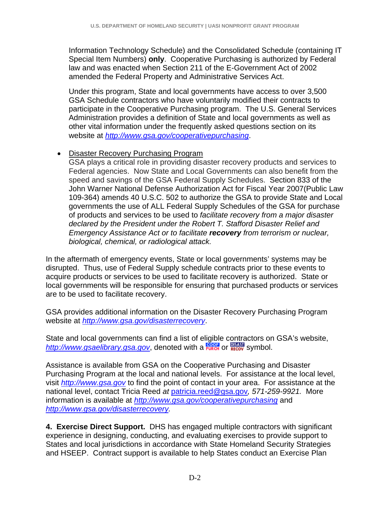Information Technology Schedule) and the Consolidated Schedule (containing IT Special Item Numbers) **only**. Cooperative Purchasing is authorized by Federal law and was enacted when Section 211 of the E-Government Act of 2002 amended the Federal Property and Administrative Services Act.

Under this program, State and local governments have access to over 3,500 GSA Schedule contractors who have voluntarily modified their contracts to participate in the Cooperative Purchasing program. The U.S. General Services Administration provides a definition of State and local governments as well as other vital information under the frequently asked questions section on its website at *http://www.gsa.gov/cooperativepurchasing*.

## • Disaster Recovery Purchasing Program

GSA plays a critical role in providing disaster recovery products and services to Federal agencies. Now State and Local Governments can also benefit from the speed and savings of the GSA Federal Supply Schedules. Section 833 of the John Warner National Defense Authorization Act for Fiscal Year 2007(Public Law 109-364) amends 40 U.S.C. 502 to authorize the GSA to provide State and Local governments the use of ALL Federal Supply Schedules of the GSA for purchase of products and services to be used to *facilitate recovery from a major disaster declared by the President under the Robert T. Stafford Disaster Relief and Emergency Assistance Act or to facilitate recovery from terrorism or nuclear, biological, chemical, or radiological attack.* 

In the aftermath of emergency events, State or local governments' systems may be disrupted. Thus, use of Federal Supply schedule contracts prior to these events to acquire products or services to be used to facilitate recovery is authorized. State or local governments will be responsible for ensuring that purchased products or services are to be used to facilitate recovery.

GSA provides additional information on the Disaster Recovery Purchasing Program website at *http://www.gsa.gov/disasterrecovery*.

State and local governments can find a list of eligible contractors on GSA's website, http://www.gsaelibrary.gsa.gov, denoted with a **FURCH** or **RECOV** Symbol.

Assistance is available from GSA on the Cooperative Purchasing and Disaster Purchasing Program at the local and national levels. For assistance at the local level, visit *http://www.gsa.gov* to find the point of contact in your area. For assistance at the national level, contact Tricia Reed *at* patricia.reed@gsa.gov*, 571-259-9921.* More information is available at *http://www.gsa.gov/cooperativepurchasing* and *http://www.gsa.gov/disasterrecovery.* 

**4. Exercise Direct Support.** DHS has engaged multiple contractors with significant experience in designing, conducting, and evaluating exercises to provide support to States and local jurisdictions in accordance with State Homeland Security Strategies and HSEEP. Contract support is available to help States conduct an Exercise Plan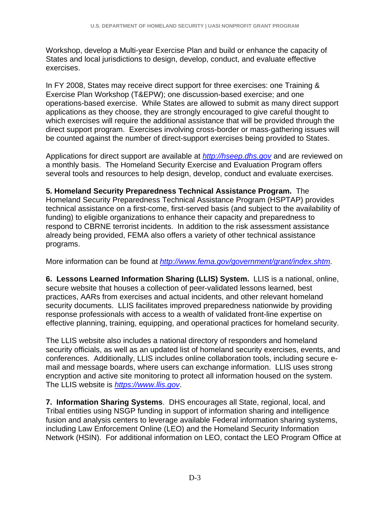Workshop, develop a Multi-year Exercise Plan and build or enhance the capacity of States and local jurisdictions to design, develop, conduct, and evaluate effective exercises.

In FY 2008, States may receive direct support for three exercises: one Training & Exercise Plan Workshop (T&EPW); one discussion-based exercise; and one operations-based exercise. While States are allowed to submit as many direct support applications as they choose, they are strongly encouraged to give careful thought to which exercises will require the additional assistance that will be provided through the direct support program. Exercises involving cross-border or mass-gathering issues will be counted against the number of direct-support exercises being provided to States.

Applications for direct support are available at *http://hseep.dhs.gov* and are reviewed on a monthly basis. The Homeland Security Exercise and Evaluation Program offers several tools and resources to help design, develop, conduct and evaluate exercises.

**5. Homeland Security Preparedness Technical Assistance Program.** The Homeland Security Preparedness Technical Assistance Program (HSPTAP) provides technical assistance on a first-come, first-served basis (and subject to the availability of funding) to eligible organizations to enhance their capacity and preparedness to respond to CBRNE terrorist incidents. In addition to the risk assessment assistance already being provided, FEMA also offers a variety of other technical assistance programs.

More information can be found at *http://www.fema.gov/government/grant/index.shtm*.

**6. Lessons Learned Information Sharing (LLIS) System.** LLIS is a national, online, secure website that houses a collection of peer-validated lessons learned, best practices, AARs from exercises and actual incidents, and other relevant homeland security documents. LLIS facilitates improved preparedness nationwide by providing response professionals with access to a wealth of validated front-line expertise on effective planning, training, equipping, and operational practices for homeland security.

The LLIS website also includes a national directory of responders and homeland security officials, as well as an updated list of homeland security exercises, events, and conferences. Additionally, LLIS includes online collaboration tools, including secure email and message boards, where users can exchange information. LLIS uses strong encryption and active site monitoring to protect all information housed on the system. The LLIS website is *https://www.llis.gov*.

**7. Information Sharing Systems**. DHS encourages all State, regional, local, and Tribal entities using NSGP funding in support of information sharing and intelligence fusion and analysis centers to leverage available Federal information sharing systems, including Law Enforcement Online (LEO) and the Homeland Security Information Network (HSIN). For additional information on LEO, contact the LEO Program Office at